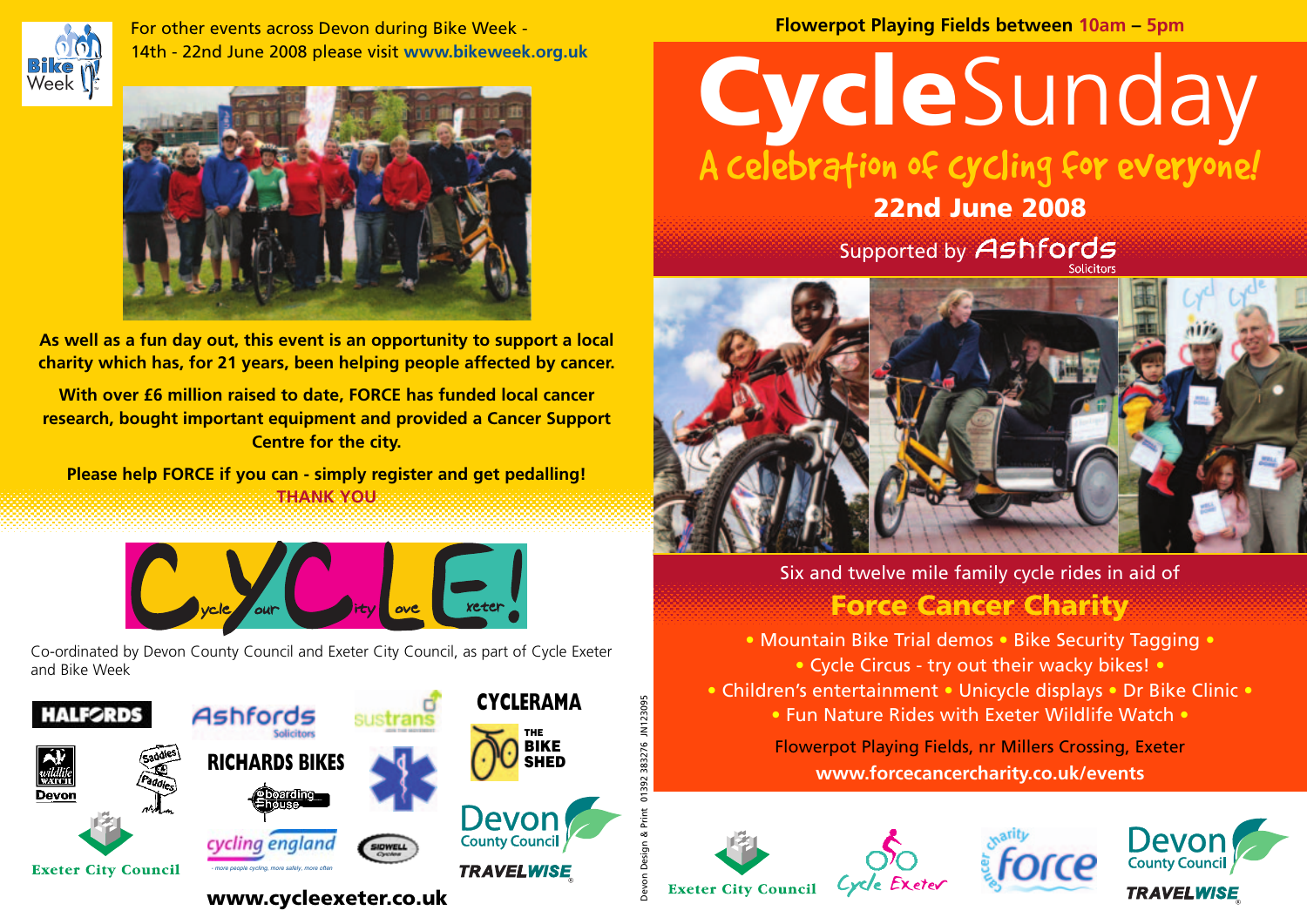

For other events across Devon during Bike Week - 14th - 22nd June 2008 please visit **www.bikeweek.org.uk**



**As well as a fun day out, this event is an opportunity to support a local charity which has, for 21 years, been helping people affected by cancer.**

**With over £6 million raised to date, FORCE has funded local cancer research, bought important equipment and provided a Cancer Support Centre for the city.**

**Please help FORCE if you can - simply register and get pedalling! THANK YOU**



Co-ordinated by Devon County Council and Exeter City Council, as part of Cycle Exeter and Bike Week



**Flowerpot Playing Fields between 10am – 5pm**

## **Cycle**Sunday A celebration of cycling for everyone!

Supported by Ashfords **22nd June 2008**



Six and twelve mile family cycle rides in aid of **Force Cancer Charity**

- Mountain Bike Trial demos Bike Security Tagging
	- Cycle Circus try out their wacky bikes! •
- Children's entertainment Unicycle displays Dr Bike Clinic
	- Fun Nature Rides with Exeter Wildlife Watch •

Flowerpot Playing Fields, nr Millers Crossing, Exeter **www.forcecancercharity.co.uk/events**



Devon Design & Print 01392 383276 JN123095

123095







**Exeter City Council**